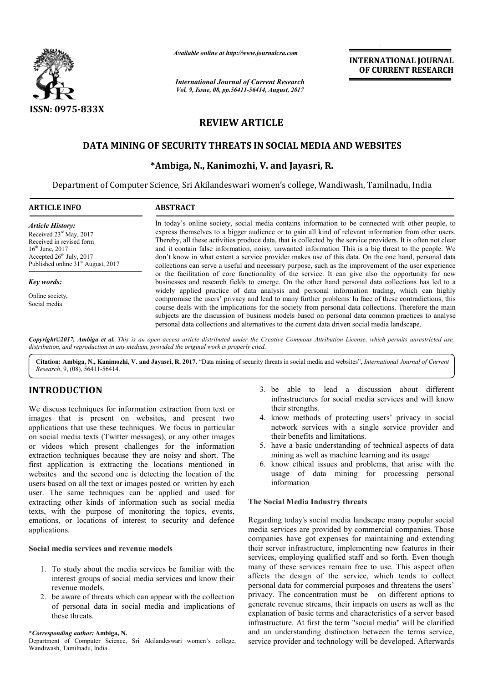

*Available online at http://www.journal http://www.journalcra.com*

*International Journal of Current Research Vol. 9, Issue, 08, pp.56411-56414, August, 2017* **INTERNATIONAL JOURNAL OF CURRENT RESEARCH** 

# **REVIEW ARTICLE**

## **DATA MINING OF SECURITY THREATS IN SOCIAL MEDIA AND WEBSITES DATA MINING OF SECURITY MEDIA AND WEBSITES**

## **\*Ambiga Ambiga, N., Kanimozhi, V. and Jayasri, R.**

Department of Computer Science, Sri Akilandeswari women's college, Wandiwash, Tamilnadu, India

| <b>ARTICLE INFO</b>                                                                                                                                                                             | <b>ABSTRACT</b>                                                                                                                                                                                                                                                                                                                                                                                                                                                                                                                                                                                                                                                                                                                                                                                                                                                                                                                                                                                                                                                                                                                                                                                                                                                                                                                                                                        |
|-------------------------------------------------------------------------------------------------------------------------------------------------------------------------------------------------|----------------------------------------------------------------------------------------------------------------------------------------------------------------------------------------------------------------------------------------------------------------------------------------------------------------------------------------------------------------------------------------------------------------------------------------------------------------------------------------------------------------------------------------------------------------------------------------------------------------------------------------------------------------------------------------------------------------------------------------------------------------------------------------------------------------------------------------------------------------------------------------------------------------------------------------------------------------------------------------------------------------------------------------------------------------------------------------------------------------------------------------------------------------------------------------------------------------------------------------------------------------------------------------------------------------------------------------------------------------------------------------|
| <b>Article History:</b><br>Received 23 <sup>rd</sup> May, 2017<br>Received in revised form<br>$16th$ June, 2017<br>Accepted $26th$ July, 2017<br>Published online 31 <sup>st</sup> August, 2017 | In today's online society, social media contains information to be connected with other people, to<br>express themselves to a bigger audience or to gain all kind of relevant information from other users.<br>Thereby, all these activities produce data, that is collected by the service providers. It is often not clear<br>and it contain false information, noisy, unwanted information This is a big threat to the people. We<br>don't know in what extent a service provider makes use of this data. On the one hand, personal data<br>collections can serve a useful and necessary purpose, such as the improvement of the user experience<br>or the facilitation of core functionality of the service. It can give also the opportunity for new<br>businesses and research fields to emerge. On the other hand personal data collections has led to a<br>widely applied practice of data analysis and personal information trading, which can highly<br>compromise the users' privacy and lead to many further problems In face of these contradictions, this<br>course deals with the implications for the society from personal data collections. Therefore the main<br>subjects are the discussion of business models based on personal data common practices to analyse<br>personal data collections and alternatives to the current data driven social media landscape. |
| Key words:                                                                                                                                                                                      |                                                                                                                                                                                                                                                                                                                                                                                                                                                                                                                                                                                                                                                                                                                                                                                                                                                                                                                                                                                                                                                                                                                                                                                                                                                                                                                                                                                        |
| Online society,<br>Social media.                                                                                                                                                                |                                                                                                                                                                                                                                                                                                                                                                                                                                                                                                                                                                                                                                                                                                                                                                                                                                                                                                                                                                                                                                                                                                                                                                                                                                                                                                                                                                                        |

Copyright©2017, Ambiga et al. This is an open access article distributed under the Creative Commons Attribution License, which permits unrestricted use, *distribution, and reproduction in any medium, provided the original work is properly cited.*

Citation: Ambiga, N., Kanimozhi, V. and Jayasri, R. 2017. "Data mining of security threats in social media and websites", *International Journal of Current Research*, 9, (08), 56411-56414.

### **INTRODUCTION**

We discuss techniques for information extraction from text or images that is present on websites, and present two applications that use these techniques. We focus in particular on social media texts (Twitter messages), or any other images or videos which present challenges for the information extraction techniques because they are noisy and short. The first application is extracting the locations mentioned in websites and the second one is detecting the location of the users based on all the text or images posted or written by each user. The same techniques can be applied and used for users based on all the text or images posted or written by each<br>user. The same techniques can be applied and used for<br>extracting other kinds of information such as social media texts, with the purpose of monitoring the topics, events, emotions, or locations of interest to security and defence applications.

#### **Social media services and revenue models**

- 1. To study about the media services be familiar with the interest groups of social media services and know their revenue models.
- 2. be aware of threats which can appear with the collection of personal data in social media and implications of these threats.
- 3. be able to lead a discussion about different infrastructures for social media services and will know their strengths.
- 4. know methods of protecting users' privacy in social network services with a single service provider and their benefits and limitations. be able to lead a discussion about different<br>infrastructures for social media services and will know<br>their strengths.<br>know methods of protecting users' privacy in social<br>network services with a single service provider and<br>
- 5. have a basic understanding of technical aspects of data mining as well as machine learning and its usage
- 6. know ethical issues and problems, that arise with the usage of data mining for processing personal information

#### **The Social Media Industry threats**

Regarding today's social media landscape many popular social media services are provided by commercial companies. companies have got expenses for maintaining and extending their server infrastructure, implementing new features in their services, employing qualified staff and so forth. Even though many of these services remain free to use. This aspect often affects the design of the service, which tends to collect personal data for commercial purposes and threatens the users' privacy. The concentration must be on different options to generate revenue streams, their impacts on users as well as the explanation of basic terms and characteristics of a server based explanation of basic terms and characteristics of a server based<br>infrastructure. At first the term "social media" will be clarified and an understanding distinction between the terms service, and an understanding distinction between the terms service, service provider and technology will be developed. Afterwards got expenses for maintaining and extending<br>yer infrastructure, implementing new features in their<br>employing qualified staff and so forth. Even though<br>these services remain free to use. This aspect often<br>he design of the se

**<sup>\*</sup>***Corresponding author:* **Ambiga, N.**

Department of Computer Science, Sri Akilandeswari women's college, Wandiwash, Tamilnadu, India.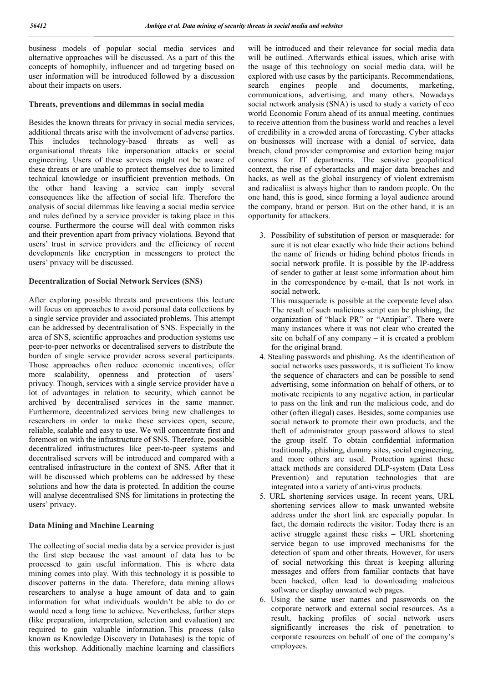business models of popular social media services and alternative approaches will be discussed. As a part of this the concepts of homophily, influencer and ad targeting based on user information will be introduced followed by a discussion about their impacts on users.

#### **Threats, preventions and dilemmas in social media**

Besides the known threats for privacy in social media services, additional threats arise with the involvement of adverse parties. This includes technology-based threats as well as organisational threats like impersonation attacks or social engineering. Users of these services might not be aware of these threats or are unable to protect themselves due to limited technical knowledge or insufficient prevention methods. On the other hand leaving a service can imply several consequences like the affection of social life. Therefore the analysis of social dilemmas like leaving a social media service and rules defined by a service provider is taking place in this course. Furthermore the course will deal with common risks and their prevention apart from privacy violations. Beyond that users' trust in service providers and the efficiency of recent developments like encryption in messengers to protect the users' privacy will be discussed.

#### **Decentralization of Social Network Services (SNS)**

After exploring possible threats and preventions this lecture will focus on approaches to avoid personal data collections by a single service provider and associated problems. This attempt can be addressed by decentralisation of SNS. Especially in the area of SNS, scientific approaches and production systems use peer-to-peer networks or decentralised servers to distribute the burden of single service provider across several participants. Those approaches often reduce economic incentives; offer more scalability, openness and protection of users' privacy. Though, services with a single service provider have a lot of advantages in relation to security, which cannot be archived by decentralised services in the same manner. Furthermore, decentralized services bring new challenges to researchers in order to make these services open, secure, reliable, scalable and easy to use. We will concentrate first and foremost on with the infrastructure of SNS. Therefore, possible decentralized infrastructures like peer-to-peer systems and decentralised servers will be introduced and compared with a centralised infrastructure in the context of SNS. After that it will be discussed which problems can be addressed by these solutions and how the data is protected. In addition the course will analyse decentralised SNS for limitations in protecting the users' privacy.

#### **Data Mining and Machine Learning**

The collecting of social media data by a service provider is just the first step because the vast amount of data has to be processed to gain useful information. This is where data mining comes into play. With this technology it is possible to discover patterns in the data. Therefore, data mining allows researchers to analyse a huge amount of data and to gain information for what individuals wouldn't be able to do or would need a long time to achieve. Nevertheless, further steps (like preparation, interpretation, selection and evaluation) are required to gain valuable information. This process (also known as Knowledge Discovery in Databases) is the topic of this workshop. Additionally machine learning and classifiers will be introduced and their relevance for social media data will be outlined. Afterwards ethical issues, which arise with the usage of this technology on social media data, will be explored with use cases by the participants. Recommendations, search engines people and documents, marketing, communications, advertising, and many others. Nowadays social network analysis (SNA) is used to study a variety of eco world Economic Forum ahead of its annual meeting, continues to receive attention from the business world and reaches a level of credibility in a crowded arena of forecasting. Cyber attacks on businesses will increase with a denial of service, data breach, cloud provider compromise and extortion being major concerns for IT departments. The sensitive geopolitical context, the rise of cyberattacks and major data breaches and hacks, as well as the global insurgency of violent extremism and radicaliist is always higher than to random people. On the one hand, this is good, since forming a loyal audience around the company, brand or person. But on the other hand, it is an opportunity for attackers.

3. Possibility of substitution of person or masquerade: for sure it is not clear exactly who hide their actions behind the name of friends or hiding behind photos friends in social network profile. It is possible by the IP-address of sender to gather at least some information about him in the correspondence by e-mail, that Is not work in social network.

This masquerade is possible at the corporate level also. The result of such malicious script can be phishing, the organization of "black PR" or "Antipiar". There were many instances where it was not clear who created the site on behalf of any company – it is created a problem for the original brand.

- 4. Stealing passwords and phishing. As the identification of social networks uses passwords, it is sufficient To know the sequence of characters and can be possible to send advertising, some information on behalf of others, or to motivate recipients to any negative action, in particular to pass on the link and run the malicious code, and do other (often illegal) cases. Besides, some companies use social network to promote their own products, and the theft of administrator group password allows to steal the group itself. To obtain confidential information traditionally, phishing, dummy sites, social engineering, and more others are used. Protection against these attack methods are considered DLP-system (Data Loss Prevention) and reputation technologies that are integrated into a variety of anti-virus products.
- 5. URL shortening services usage. In recent years, URL shortening services allow to mask unwanted website address under the short link are especially popular. In fact, the domain redirects the visitor. Today there is an active struggle against these risks  $-$  URL shortening service began to use improved mechanisms for the detection of spam and other threats. However, for users of social networking this threat is keeping alluring messages and offers from familiar contacts that have been hacked, often lead to downloading malicious software or display unwanted web pages.
- 6. Using the same user names and passwords on the corporate network and external social resources. As a result, hacking profiles of social network users significantly increases the risk of penetration to corporate resources on behalf of one of the company's employees.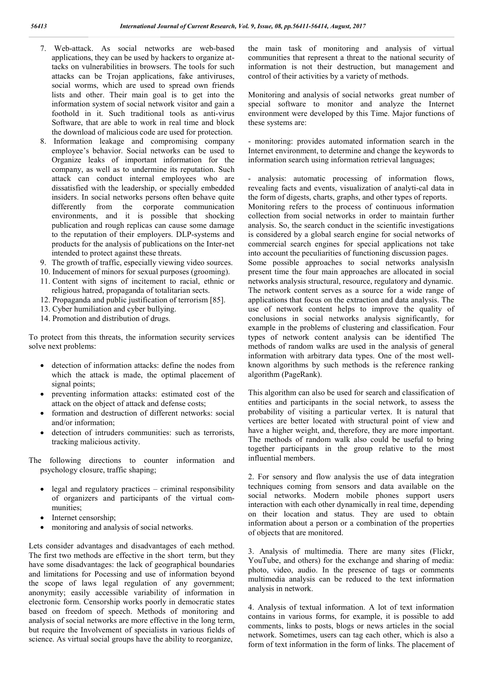- 7. Web-attack. As social networks are web-based applications, they can be used by hackers to organize attacks on vulnerabilities in browsers. The tools for such attacks can be Trojan applications, fake antiviruses, social worms, which are used to spread own friends lists and other. Their main goal is to get into the information system of social network visitor and gain a foothold in it. Such traditional tools as anti-virus Software, that are able to work in real time and block the download of malicious code are used for protection.
- 8. Information leakage and compromising company employee's behavior. Social networks can be used to Organize leaks of important information for the company, as well as to undermine its reputation. Such attack can conduct internal employees who are dissatisfied with the leadership, or specially embedded insiders. In social networks persons often behave quite differently from the corporate communication environments, and it is possible that shocking publication and rough replicas can cause some damage to the reputation of their employers. DLP-systems and products for the analysis of publications on the Inter-net intended to protect against these threats.
- 9. The growth of traffic, especially viewing video sources.
- 10. Inducement of minors for sexual purposes (grooming).
- 11. Content with signs of incitement to racial, ethnic or religious hatred, propaganda of totalitarian sects.
- 12. Propaganda and public justification of terrorism [85].
- 13. Cyber humiliation and cyber bullying.
- 14. Promotion and distribution of drugs.

To protect from this threats, the information security services solve next problems:

- detection of information attacks: define the nodes from which the attack is made, the optimal placement of signal points;
- preventing information attacks: estimated cost of the attack on the object of attack and defense costs;
- formation and destruction of different networks: social and/or information;
- detection of intruders communities: such as terrorists, tracking malicious activity.

The following directions to counter information and psychology closure, traffic shaping;

- $\bullet$  legal and regulatory practices criminal responsibility of organizers and participants of the virtual communities;
- Internet censorship;
- monitoring and analysis of social networks.

Lets consider advantages and disadvantages of each method. The first two methods are effective in the short term, but they have some disadvantages: the lack of geographical boundaries and limitations for Pocessing and use of information beyond the scope of laws legal regulation of any government; anonymity; easily accessible variability of information in electronic form. Censorship works poorly in democratic states based on freedom of speech. Methods of monitoring and analysis of social networks are more effective in the long term, but require the Involvement of specialists in various fields of science. As virtual social groups have the ability to reorganize,

the main task of monitoring and analysis of virtual communities that represent a threat to the national security of information is not their destruction, but management and control of their activities by a variety of methods.

Monitoring and analysis of social networks great number of special software to monitor and analyze the Internet environment were developed by this Time. Major functions of these systems are:

- monitoring: provides automated information search in the Internet environment, to determine and change the keywords to information search using information retrieval languages;

- analysis: automatic processing of information flows, revealing facts and events, visualization of analyti-cal data in the form of digests, charts, graphs, and other types of reports. Monitoring refers to the process of continuous information collection from social networks in order to maintain further analysis. So, the search conduct in the scientific investigations is considered by a global search engine for social networks of commercial search engines for special applications not take into account the peculiarities of functioning discussion pages. Some possible approaches to social networks analysisIn present time the four main approaches are allocated in social networks analysis structural, resource, regulatory and dynamic. The network content serves as a source for a wide range of applications that focus on the extraction and data analysis. The use of network content helps to improve the quality of conclusions in social networks analysis significantly, for example in the problems of clustering and classification. Four types of network content analysis can be identified The methods of random walks are used in the analysis of general

algorithm (PageRank). This algorithm can also be used for search and classification of entities and participants in the social network, to assess the probability of visiting a particular vertex. It is natural that vertices are better located with structural point of view and have a higher weight, and, therefore, they are more important. The methods of random walk also could be useful to bring together participants in the group relative to the most

influential members.

information with arbitrary data types. One of the most wellknown algorithms by such methods is the reference ranking

2. For sensory and flow analysis the use of data integration techniques coming from sensors and data available on the social networks. Modern mobile phones support users interaction with each other dynamically in real time, depending on their location and status. They are used to obtain information about a person or a combination of the properties of objects that are monitored.

3. Analysis of multimedia. There are many sites (Flickr, YouTube, and others) for the exchange and sharing of media: photo, video, audio. In the presence of tags or comments multimedia analysis can be reduced to the text information analysis in network.

4. Analysis of textual information. A lot of text information contains in various forms, for example, it is possible to add comments, links to posts, blogs or news articles in the social network. Sometimes, users can tag each other, which is also a form of text information in the form of links. The placement of